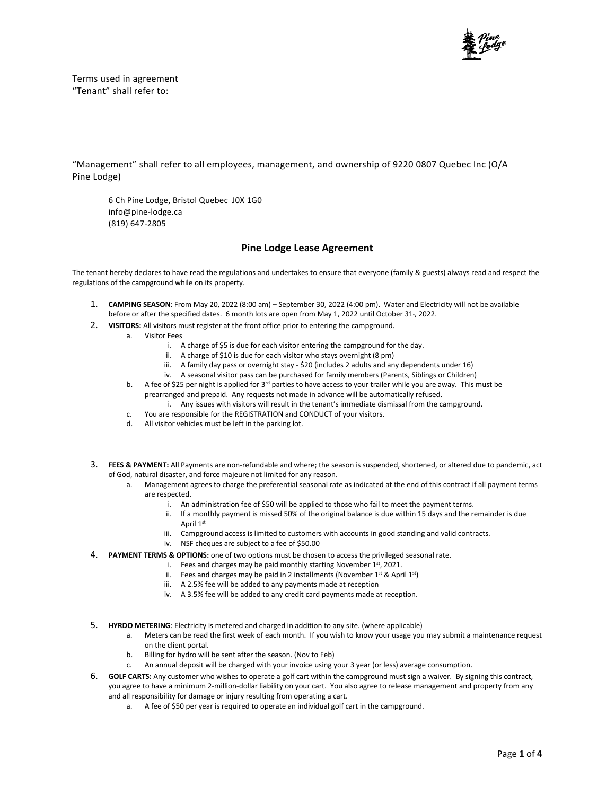

Terms used in agreement "Tenant" shall refer to:

"Management" shall refer to all employees, management, and ownership of 9220 0807 Quebec Inc (O/A Pine Lodge)

6 Ch Pine Lodge, Bristol Quebec J0X 1G0 info@pine-lodge.ca (819) 647-2805

## **Pine Lodge Lease Agreement**

The tenant hereby declares to have read the regulations and undertakes to ensure that everyone (family & guests) always read and respect the regulations of the campground while on its property.

- 1. **CAMPING SEASON**: From May 20, 2022 (8:00 am) September 30, 2022 (4:00 pm). Water and Electricity will not be available before or after the specified dates. 6 month lots are open from May 1, 2022 until October 31-, 2022.
- 2. **VISITORS:** All visitors must register at the front office prior to entering the campground.
	- a. Visitor Fees
		- i. A charge of \$5 is due for each visitor entering the campground for the day.
		- ii. A charge of \$10 is due for each visitor who stays overnight (8 pm)
		- iii. A family day pass or overnight stay \$20 (includes 2 adults and any dependents under 16)
		- iv. A seasonal visitor pass can be purchased for family members (Parents, Siblings or Children)
		- b. A fee of \$25 per night is applied for 3<sup>rd</sup> parties to have access to your trailer while you are away. This must be prearranged and prepaid. Any requests not made in advance will be automatically refused.
			- i. Any issues with visitors will result in the tenant's immediate dismissal from the campground.
		- c. You are responsible for the REGISTRATION and CONDUCT of your visitors.
		- d. All visitor vehicles must be left in the parking lot.
- 3. **FEES & PAYMENT:** All Payments are non-refundable and where; the season is suspended, shortened, or altered due to pandemic, act of God, natural disaster, and force majeure not limited for any reason.
	- a. Management agrees to charge the preferential seasonal rate as indicated at the end of this contract if all payment terms are respected.
		- i. An administration fee of \$50 will be applied to those who fail to meet the payment terms.
		- ii. If a monthly payment is missed 50% of the original balance is due within 15 days and the remainder is due April 1st
		- iii. Campground access is limited to customers with accounts in good standing and valid contracts.
		- iv. NSF cheques are subject to a fee of \$50.00
- 4. **PAYMENT TERMS & OPTIONS:** one of two options must be chosen to access the privileged seasonal rate.
	- i. Fees and charges may be paid monthly starting November  $1^{st}$ , 2021.
	- ii. Fees and charges may be paid in 2 installments (November  $1^{st}$  & April  $1^{st}$ )
	- iii. A 2.5% fee will be added to any payments made at reception
	- iv. A 3.5% fee will be added to any credit card payments made at reception.
- 5. **HYRDO METERING**: Electricity is metered and charged in addition to any site. (where applicable)
	- a. Meters can be read the first week of each month. If you wish to know your usage you may submit a maintenance request on the client portal.
	- b. Billing for hydro will be sent after the season. (Nov to Feb)
	- c. An annual deposit will be charged with your invoice using your 3 year (or less) average consumption.
- 6. **GOLF CARTS:** Any customer who wishes to operate a golf cart within the campground must sign a waiver. By signing this contract, you agree to have a minimum 2-million-dollar liability on your cart. You also agree to release management and property from any and all responsibility for damage or injury resulting from operating a cart.
	- a. A fee of \$50 per year is required to operate an individual golf cart in the campground.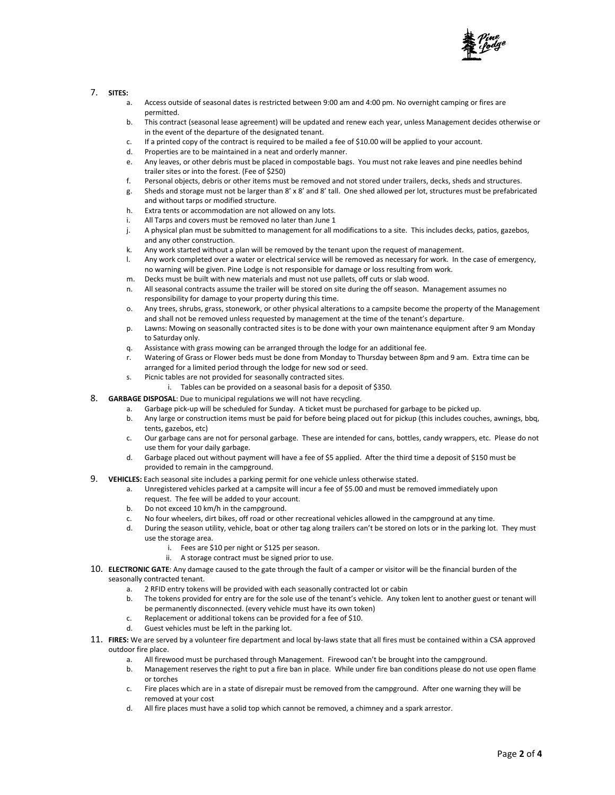

## 7. **SITES:**

- Access outside of seasonal dates is restricted between 9:00 am and 4:00 pm. No overnight camping or fires are permitted.
- b. This contract (seasonal lease agreement) will be updated and renew each year, unless Management decides otherwise or in the event of the departure of the designated tenant.
- c. If a printed copy of the contract is required to be mailed a fee of \$10.00 will be applied to your account.
- d. Properties are to be maintained in a neat and orderly manner.
- e. Any leaves, or other debris must be placed in compostable bags. You must not rake leaves and pine needles behind trailer sites or into the forest. (Fee of \$250)
- f. Personal objects, debris or other items must be removed and not stored under trailers, decks, sheds and structures.
- g. Sheds and storage must not be larger than 8' x 8' and 8' tall. One shed allowed per lot, structures must be prefabricated and without tarps or modified structure.
- h. Extra tents or accommodation are not allowed on any lots.
- i. All Tarps and covers must be removed no later than June 1
- j. A physical plan must be submitted to management for all modifications to a site. This includes decks, patios, gazebos, and any other construction.
- k. Any work started without a plan will be removed by the tenant upon the request of management.
- l. Any work completed over a water or electrical service will be removed as necessary for work. In the case of emergency, no warning will be given. Pine Lodge is not responsible for damage or loss resulting from work.
- m. Decks must be built with new materials and must not use pallets, off cuts or slab wood.
- n. All seasonal contracts assume the trailer will be stored on site during the off season. Management assumes no responsibility for damage to your property during this time.
- o. Any trees, shrubs, grass, stonework, or other physical alterations to a campsite become the property of the Management and shall not be removed unless requested by management at the time of the tenant's departure.
- p. Lawns: Mowing on seasonally contracted sites is to be done with your own maintenance equipment after 9 am Monday to Saturday only.
- q. Assistance with grass mowing can be arranged through the lodge for an additional fee.
- r. Watering of Grass or Flower beds must be done from Monday to Thursday between 8pm and 9 am. Extra time can be arranged for a limited period through the lodge for new sod or seed.
- s. Picnic tables are not provided for seasonally contracted sites.
	- i. Tables can be provided on a seasonal basis for a deposit of \$350.
- 8. **GARBAGE DISPOSAL**: Due to municipal regulations we will not have recycling.
	- a. Garbage pick-up will be scheduled for Sunday. A ticket must be purchased for garbage to be picked up.
	- b. Any large or construction items must be paid for before being placed out for pickup (this includes couches, awnings, bbq, tents, gazebos, etc)
	- c. Our garbage cans are not for personal garbage. These are intended for cans, bottles, candy wrappers, etc. Please do not use them for your daily garbage.
	- d. Garbage placed out without payment will have a fee of \$5 applied. After the third time a deposit of \$150 must be provided to remain in the campground.
- 9. **VEHICLES:** Each seasonal site includes a parking permit for one vehicle unless otherwise stated.
	- a. Unregistered vehicles parked at a campsite will incur a fee of \$5.00 and must be removed immediately upon request. The fee will be added to your account.
		- b. Do not exceed 10 km/h in the campground.
		- c. No four wheelers, dirt bikes, off road or other recreational vehicles allowed in the campground at any time.
		- d. During the season utility, vehicle, boat or other tag along trailers can't be stored on lots or in the parking lot. They must use the storage area.
			- i. Fees are \$10 per night or \$125 per season.
			- ii. A storage contract must be signed prior to use.
- 10. **ELECTRONIC GATE**: Any damage caused to the gate through the fault of a camper or visitor will be the financial burden of the seasonally contracted tenant.
	- a. 2 RFID entry tokens will be provided with each seasonally contracted lot or cabin
	- b. The tokens provided for entry are for the sole use of the tenant's vehicle. Any token lent to another guest or tenant will be permanently disconnected. (every vehicle must have its own token)
	- c. Replacement or additional tokens can be provided for a fee of \$10.
	- d. Guest vehicles must be left in the parking lot.
- 11. **FIRES:** We are served by a volunteer fire department and local by-laws state that all fires must be contained within a CSA approved outdoor fire place.
	- a. All firewood must be purchased through Management. Firewood can't be brought into the campground.
		- b. Management reserves the right to put a fire ban in place. While under fire ban conditions please do not use open flame or torches
		- c. Fire places which are in a state of disrepair must be removed from the campground. After one warning they will be removed at your cost
		- d. All fire places must have a solid top which cannot be removed, a chimney and a spark arrestor.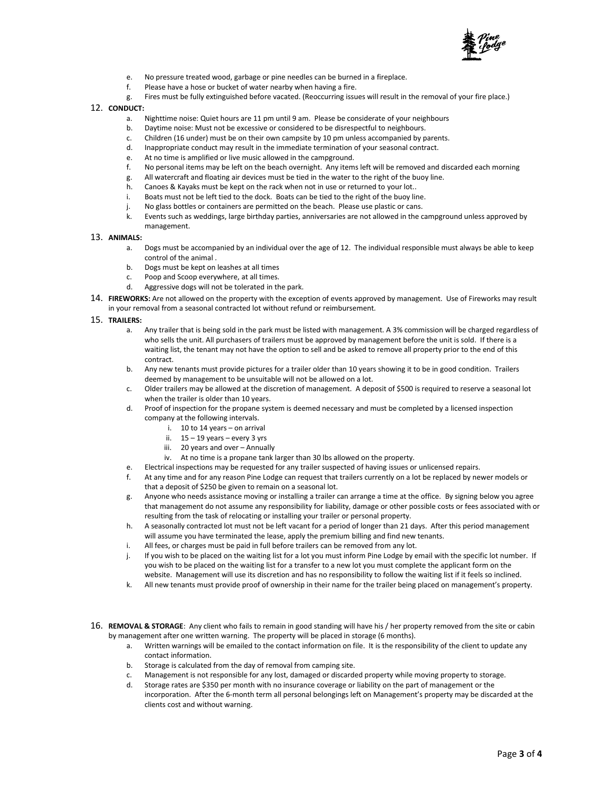

- e. No pressure treated wood, garbage or pine needles can be burned in a fireplace.
- f. Please have a hose or bucket of water nearby when having a fire.
- g. Fires must be fully extinguished before vacated. (Reoccurring issues will result in the removal of your fire place.)
- 12. **CONDUCT:**
	- a. Nighttime noise: Quiet hours are 11 pm until 9 am. Please be considerate of your neighbours
	- b. Daytime noise: Must not be excessive or considered to be disrespectful to neighbours.
	- c. Children (16 under) must be on their own campsite by 10 pm unless accompanied by parents.
	- d. Inappropriate conduct may result in the immediate termination of your seasonal contract.
	- e. At no time is amplified or live music allowed in the campground.
	- f. No personal items may be left on the beach overnight. Any items left will be removed and discarded each morning
	- g. All watercraft and floating air devices must be tied in the water to the right of the buoy line.
	- h. Canoes & Kayaks must be kept on the rack when not in use or returned to your lot..
	- i. Boats must not be left tied to the dock. Boats can be tied to the right of the buoy line.
	- j. No glass bottles or containers are permitted on the beach. Please use plastic or cans.
	- k. Events such as weddings, large birthday parties, anniversaries are not allowed in the campground unless approved by management.
- 13. **ANIMALS:**
	- a. Dogs must be accompanied by an individual over the age of 12. The individual responsible must always be able to keep control of the animal .
	- b. Dogs must be kept on leashes at all times
	- c. Poop and Scoop everywhere, at all times.
	- d. Aggressive dogs will not be tolerated in the park.
- 14. **FIREWORKS:** Are not allowed on the property with the exception of events approved by management. Use of Fireworks may result in your removal from a seasonal contracted lot without refund or reimbursement.
- 15. **TRAILERS:**
	- a. Any trailer that is being sold in the park must be listed with management. A 3% commission will be charged regardless of who sells the unit. All purchasers of trailers must be approved by management before the unit is sold. If there is a waiting list, the tenant may not have the option to sell and be asked to remove all property prior to the end of this contract.
	- b. Any new tenants must provide pictures for a trailer older than 10 years showing it to be in good condition. Trailers deemed by management to be unsuitable will not be allowed on a lot.
	- c. Older trailers may be allowed at the discretion of management. A deposit of \$500 is required to reserve a seasonal lot when the trailer is older than 10 years.
	- d. Proof of inspection for the propane system is deemed necessary and must be completed by a licensed inspection company at the following intervals.
		- i. 10 to 14 years on arrival
		- ii.  $15 19$  years every 3 yrs
		- iii. 20 years and over Annually
		- iv. At no time is a propane tank larger than 30 lbs allowed on the property.
	- e. Electrical inspections may be requested for any trailer suspected of having issues or unlicensed repairs.
	- f. At any time and for any reason Pine Lodge can request that trailers currently on a lot be replaced by newer models or that a deposit of \$250 be given to remain on a seasonal lot.
	- g. Anyone who needs assistance moving or installing a trailer can arrange a time at the office. By signing below you agree that management do not assume any responsibility for liability, damage or other possible costs or fees associated with or resulting from the task of relocating or installing your trailer or personal property.
	- h. A seasonally contracted lot must not be left vacant for a period of longer than 21 days. After this period management will assume you have terminated the lease, apply the premium billing and find new tenants.
	- i. All fees, or charges must be paid in full before trailers can be removed from any lot.
	- j. If you wish to be placed on the waiting list for a lot you must inform Pine Lodge by email with the specific lot number. If you wish to be placed on the waiting list for a transfer to a new lot you must complete the applicant form on the website. Management will use its discretion and has no responsibility to follow the waiting list if it feels so inclined.
	- k. All new tenants must provide proof of ownership in their name for the trailer being placed on management's property.
- 16. **REMOVAL & STORAGE**: Any client who fails to remain in good standing will have his / her property removed from the site or cabin by management after one written warning. The property will be placed in storage (6 months).
	- a. Written warnings will be emailed to the contact information on file. It is the responsibility of the client to update any contact information.
	- b. Storage is calculated from the day of removal from camping site.
	- c. Management is not responsible for any lost, damaged or discarded property while moving property to storage.
	- d. Storage rates are \$350 per month with no insurance coverage or liability on the part of management or the incorporation. After the 6-month term all personal belongings left on Management's property may be discarded at the clients cost and without warning.